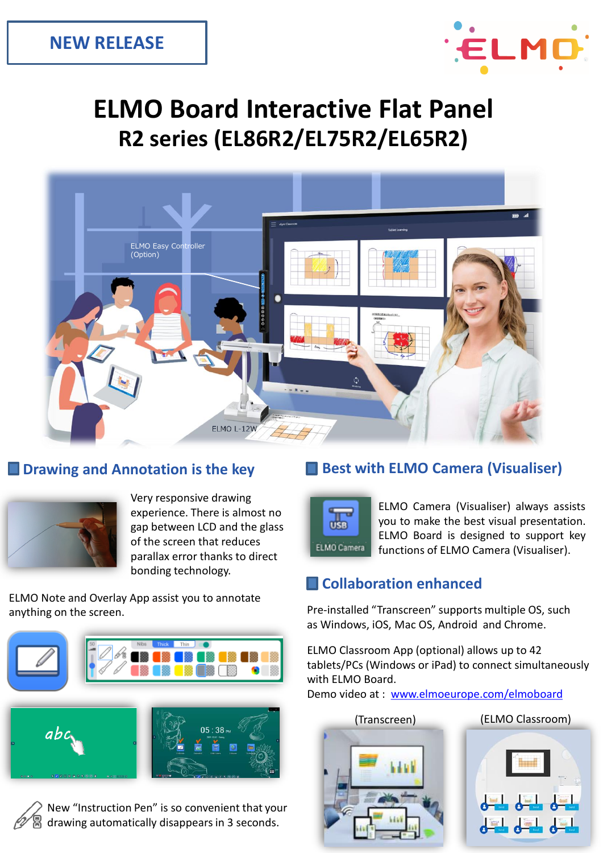

# **ELMO Board Interactive Flat Panel R2 series (EL86R2/EL75R2/EL65R2)**





Very responsive drawing experience. There is almost no gap between LCD and the glass of the screen that reduces parallax error thanks to direct bonding technology.

ELMO Note and Overlay App assist you to annotate anything on the screen.







# **Drawing and Annotation is the key <b>Best with ELMO Camera (Visualiser)**



ELMO Camera (Visualiser) always assists you to make the best visual presentation. ELMO Board is designed to support key functions of ELMO Camera (Visualiser).

# **Collaboration enhanced**

Pre-installed "Transcreen" supports multiple OS, such as Windows, iOS, Mac OS, Android and Chrome.

ELMO Classroom App (optional) allows up to 42 tablets/PCs (Windows or iPad) to connect simultaneously with ELMO Board.

Demo video at : [www.elmoeurope.com/elmoboard](http://www.elmoeurope.com/elmoboard)